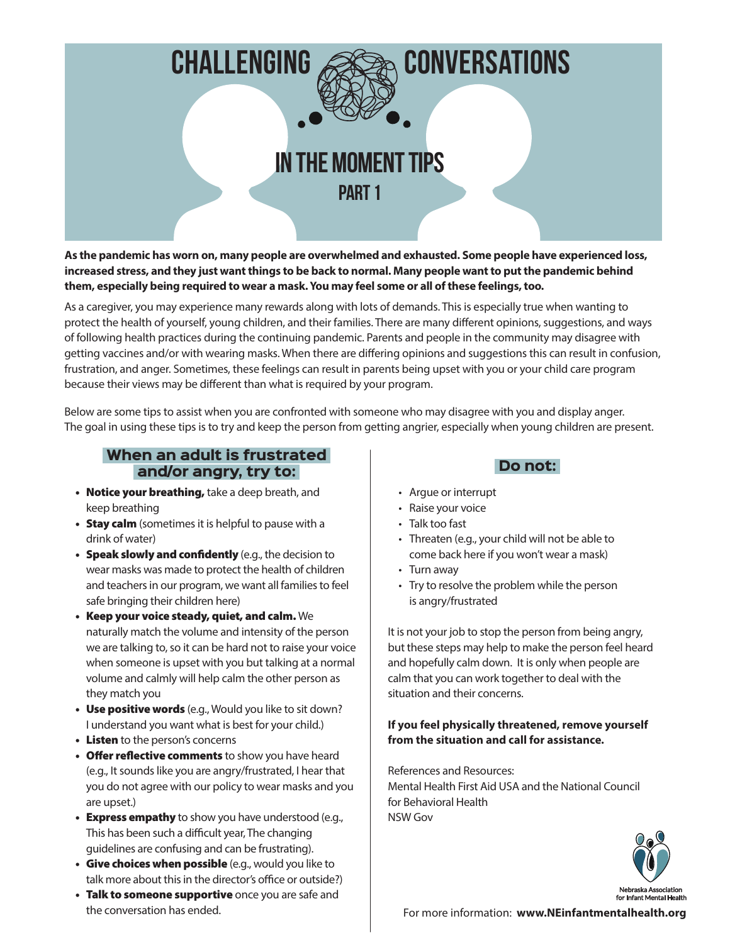

**As the pandemic has worn on, many people are overwhelmed and exhausted. Some people have experienced loss, increased stress, and they just want things to be back to normal. Many people want to put the pandemic behind them, especially being required to wear a mask. You may feel some or all of these feelings, too.**

As a caregiver, you may experience many rewards along with lots of demands. This is especially true when wanting to protect the health of yourself, young children, and their families. There are many different opinions, suggestions, and ways of following health practices during the continuing pandemic. Parents and people in the community may disagree with getting vaccines and/or with wearing masks. When there are differing opinions and suggestions this can result in confusion, frustration, and anger. Sometimes, these feelings can result in parents being upset with you or your child care program because their views may be different than what is required by your program.

Below are some tips to assist when you are confronted with someone who may disagree with you and display anger. The goal in using these tips is to try and keep the person from getting angrier, especially when young children are present.

### When an adult is frustrated and/or angry, try to:

- Notice your breathing, take a deep breath, and keep breathing
- Stay calm (sometimes it is helpful to pause with a drink of water)
- Speak slowly and confidently (e.g., the decision to wear masks was made to protect the health of children and teachers in our program, we want all families to feel safe bringing their children here)
- Keep your voice steady, quiet, and calm. We naturally match the volume and intensity of the person we are talking to, so it can be hard not to raise your voice when someone is upset with you but talking at a normal volume and calmly will help calm the other person as they match you
- Use positive words (e.g., Would you like to sit down? I understand you want what is best for your child.)
- Listen to the person's concerns
- Offer reflective comments to show you have heard (e.g., It sounds like you are angry/frustrated, I hear that you do not agree with our policy to wear masks and you are upset.)
- Express empathy to show you have understood (e.g., This has been such a difficult year, The changing guidelines are confusing and can be frustrating).
- Give choices when possible (e.g., would you like to talk more about this in the director's office or outside?)
- Talk to someone supportive once you are safe and the conversation has ended.

# Do not:

- Argue or interrupt
- Raise your voice
- Talk too fast
- Threaten (e.g., your child will not be able to come back here if you won't wear a mask)
- Turn away
- Try to resolve the problem while the person is angry/frustrated

It is not your job to stop the person from being angry, but these steps may help to make the person feel heard and hopefully calm down. It is only when people are calm that you can work together to deal with the situation and their concerns.

#### **If you feel physically threatened, remove yourself from the situation and call for assistance.**

References and Resources: Mental Health First Aid USA and the National Council for Behavioral Health NSW Gov

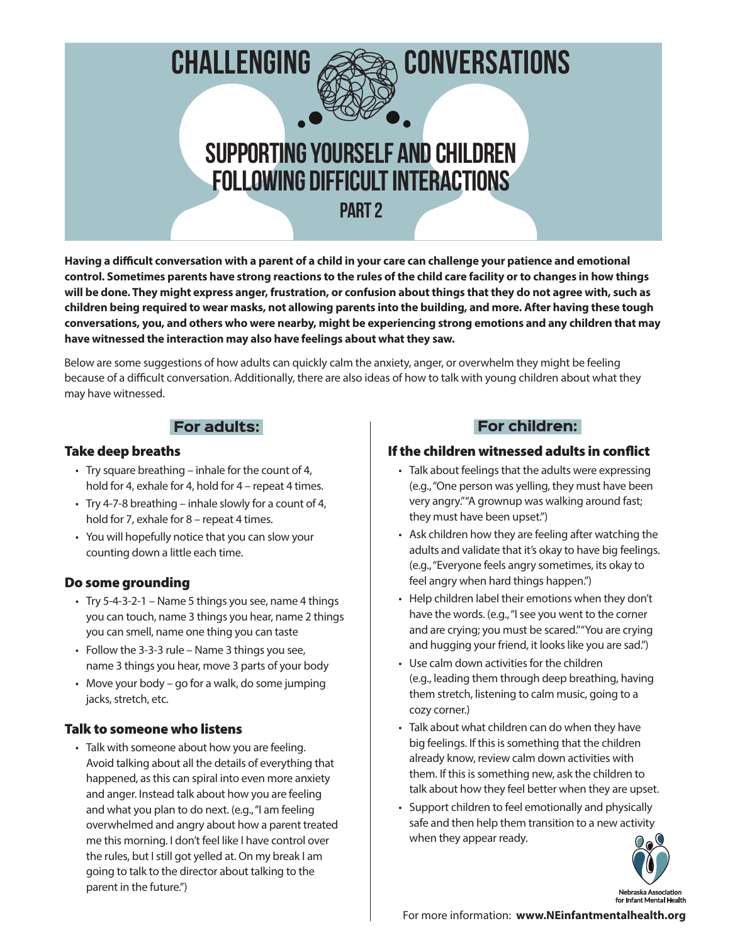

**Having a difficult conversation with a parent of a child in your care can challenge your patience and emotional control. Sometimes parents have strong reactions to the rules of the child care facility or to changes in how things will be done. They might express anger, frustration, or confusion about things that they do not agree with, such as children being required to wear masks, not allowing parents into the building, and more. After having these tough conversations, you, and others who were nearby, might be experiencing strong emotions and any children that may have witnessed the interaction may also have feelings about what they saw.** 

Below are some suggestions of how adults can quickly calm the anxiety, anger, or overwhelm they might be feeling because of a difficult conversation. Additionally, there are also ideas of how to talk with young children about what they may have witnessed.

#### For adults:

#### Take deep breaths

- Try square breathing inhale for the count of 4, hold for 4, exhale for 4, hold for 4 – repeat 4 times.
- Try 4-7-8 breathing inhale slowly for a count of 4, hold for 7, exhale for 8 – repeat 4 times.
- You will hopefully notice that you can slow your counting down a little each time.

#### Do some grounding

- Try 5-4-3-2-1 Name 5 things you see, name 4 things you can touch, name 3 things you hear, name 2 things you can smell, name one thing you can taste
- Follow the 3-3-3 rule Name 3 things you see, name 3 things you hear, move 3 parts of your body
- Move your body go for a walk, do some jumping jacks, stretch, etc.

## Talk to someone who listens

• Talk with someone about how you are feeling. Avoid talking about all the details of everything that happened, as this can spiral into even more anxiety and anger. Instead talk about how you are feeling and what you plan to do next. (e.g., "I am feeling overwhelmed and angry about how a parent treated me this morning. I don't feel like I have control over the rules, but I still got yelled at. On my break I am going to talk to the director about talking to the parent in the future.")

## For children:

### If the children witnessed adults in conflict

- Talk about feelings that the adults were expressing (e.g., "One person was yelling, they must have been very angry." "A grownup was walking around fast; they must have been upset.")
- Ask children how they are feeling after watching the adults and validate that it's okay to have big feelings. (e.g., "Everyone feels angry sometimes, its okay to feel angry when hard things happen.")
- Help children label their emotions when they don't have the words. (e.g., "I see you went to the corner and are crying; you must be scared." "You are crying and hugging your friend, it looks like you are sad.")
- Use calm down activities for the children (e.g., leading them through deep breathing, having them stretch, listening to calm music, going to a cozy corner.)
- Talk about what children can do when they have big feelings. If this is something that the children already know, review calm down activities with them. If this is something new, ask the children to talk about how they feel better when they are upset.
- Support children to feel emotionally and physically safe and then help them transition to a new activity when they appear ready.